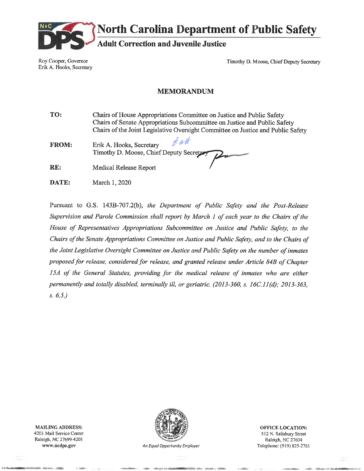

**North Carolina Department of Public Safety** 

**Adult Correction and Juvenile Justice** 

Roy Cooper, Governor Erik A. Hooks, Secretary

Timothy D. Moose, Chief Deputy Secretary

#### **MEMORANDUM**

TO: Chairs of House Appropriations Committee on Justice and Public Safety Chairs of Senate Appropriations Subcommittee on Justice and Public Safety Chairs of the Joint Legislative Oversight Committee on Justice and Public Safety

- 4. Alk **FROM:** Erik A. Hooks, Secretary Timothy D. Moose, Chief Deputy Secreta
- RE: **Medical Release Report**
- DATE: March 1, 2020

Pursuant to G.S. 143B-707.2(b), the Department of Public Safety and the Post-Release Supervision and Parole Commission shall report by March 1 of each year to the Chairs of the House of Representatives Appropriations Subcommittee on Justice and Public Safety, to the Chairs of the Senate Appropriations Committee on Justice and Public Safety, and to the Chairs of the Joint Legislative Oversight Committee on Justice and Public Safety on the number of inmates proposed for release, considered for release, and granted release under Article 84B of Chapter 15A of the General Statutes, providing for the medical release of inmates who are either permanently and totally disabled, terminally ill, or geriatric. (2013-360, s. 16C.11(d); 2013-363,  $s. 6.5.$ 

**MAILING ADDRESS:** 4201 Mail Service Center Raleigh, NC 27699-4201 www.ncdps.gov



An Equal Opportunity Employer

**OFFICE LOCATION:** 512 N. Salisbury Street Raleigh, NC 27604 Telephone: (919) 825-2761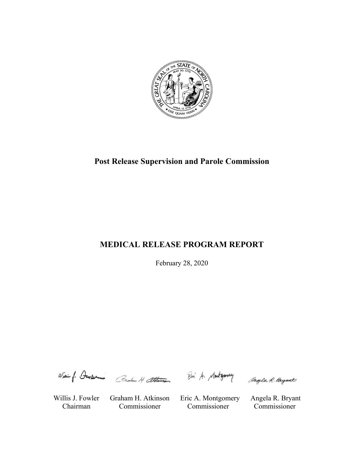

# **Post Release Supervision and Parole Commission**

# **MEDICAL RELEASE PROGRAM REPORT**

February 28, 2020

Wiei f. Denser Circhan H atkinson

Willis J. Fowler Graham H. Atkinson Eric A. Montgomery Angela R. Bryant Chairman Commissioner Commissioner Commissioner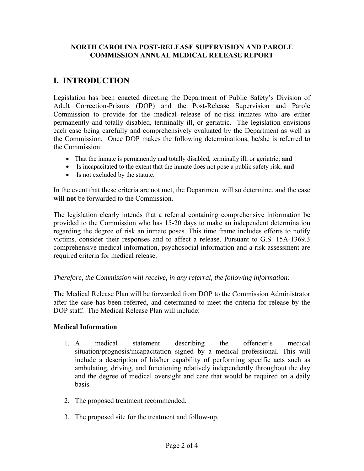#### **NORTH CAROLINA POST-RELEASE SUPERVISION AND PAROLE COMMISSION ANNUAL MEDICAL RELEASE REPORT**

## **I. INTRODUCTION**

Legislation has been enacted directing the Department of Public Safety's Division of Adult Correction-Prisons (DOP) and the Post-Release Supervision and Parole Commission to provide for the medical release of no-risk inmates who are either permanently and totally disabled, terminally ill, or geriatric. The legislation envisions each case being carefully and comprehensively evaluated by the Department as well as the Commission. Once DOP makes the following determinations, he/she is referred to the Commission:

- That the inmate is permanently and totally disabled, terminally ill, or geriatric; **and**
- Is incapacitated to the extent that the inmate does not pose a public safety risk; **and**
- Is not excluded by the statute.

In the event that these criteria are not met, the Department will so determine, and the case **will not** be forwarded to the Commission.

The legislation clearly intends that a referral containing comprehensive information be provided to the Commission who has 15-20 days to make an independent determination regarding the degree of risk an inmate poses. This time frame includes efforts to notify victims, consider their responses and to affect a release. Pursuant to G.S. 15A-1369.3 comprehensive medical information, psychosocial information and a risk assessment are required criteria for medical release.

### *Therefore, the Commission will receive, in any referral, the following information:*

The Medical Release Plan will be forwarded from DOP to the Commission Administrator after the case has been referred, and determined to meet the criteria for release by the DOP staff. The Medical Release Plan will include:

### **Medical Information**

- 1. A medical statement describing the offender's medical situation/prognosis/incapacitation signed by a medical professional. This will include a description of his/her capability of performing specific acts such as ambulating, driving, and functioning relatively independently throughout the day and the degree of medical oversight and care that would be required on a daily basis.
- 2. The proposed treatment recommended.
- 3. The proposed site for the treatment and follow-up.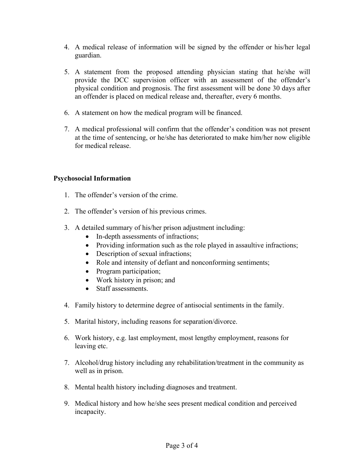- 4. A medical release of information will be signed by the offender or his/her legal guardian.
- 5. A statement from the proposed attending physician stating that he/she will provide the DCC supervision officer with an assessment of the offender's physical condition and prognosis. The first assessment will be done 30 days after an offender is placed on medical release and, thereafter, every 6 months.
- 6. A statement on how the medical program will be financed.
- 7. A medical professional will confirm that the offender's condition was not present at the time of sentencing, or he/she has deteriorated to make him/her now eligible for medical release.

### **Psychosocial Information**

- 1. The offender's version of the crime.
- 2. The offender's version of his previous crimes.
- 3. A detailed summary of his/her prison adjustment including:
	- In-depth assessments of infractions;
	- Providing information such as the role played in assaultive infractions;
	- Description of sexual infractions;
	- Role and intensity of defiant and nonconforming sentiments;
	- Program participation;
	- Work history in prison; and
	- Staff assessments.
- 4. Family history to determine degree of antisocial sentiments in the family.
- 5. Marital history, including reasons for separation/divorce.
- 6. Work history, e.g. last employment, most lengthy employment, reasons for leaving etc.
- 7. Alcohol/drug history including any rehabilitation/treatment in the community as well as in prison.
- 8. Mental health history including diagnoses and treatment.
- 9. Medical history and how he/she sees present medical condition and perceived incapacity.